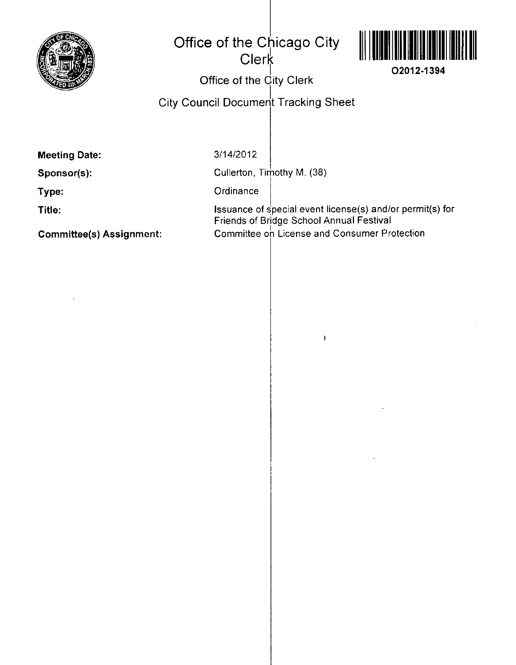

## **Office of the Chicago City Clerk**



## | **I** O2012-1394<br>}ity Clork **Office of the Gity Clerk**

**Gity Gouncil Document Tracking Sheet** 

**Meeting Date:** 

**Sponsor(s):** 

**Type:** 

**Title:** 

**Committee(s) Assignment:** 

3/14/2012

Cullerton, Timothy M. (38)

**Ordinance** 

Issuance of special event license(s) and/or permit(s) for Friends of Bridge School Annual Festival Committee on License and Consumer Protection

 $\mathbf{I}$